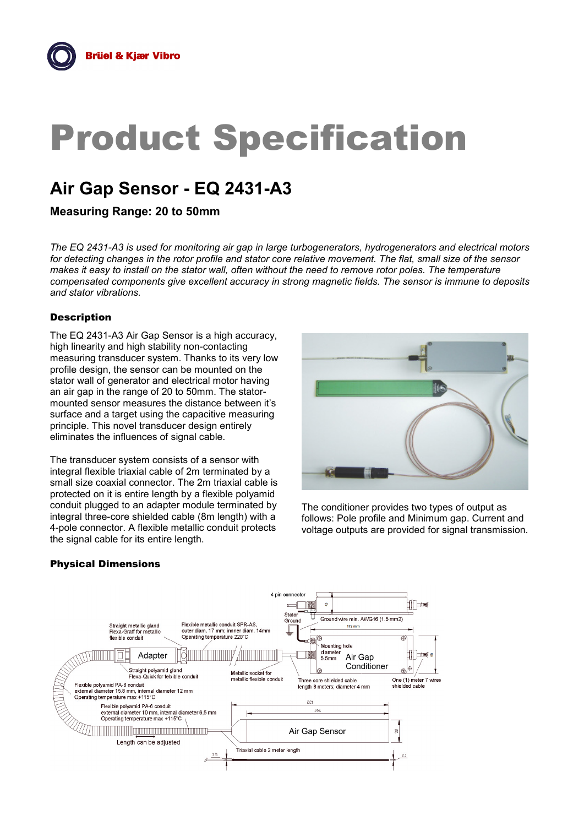# Product Specification

# **Air Gap Sensor - EQ 2431-A3**

**Measuring Range: 20 to 50mm**

*The EQ 2431-A3 is used for monitoring air gap in large turbogenerators, hydrogenerators and electrical motors for detecting changes in the rotor profile and stator core relative movement. The flat, small size of the sensor makes it easy to install on the stator wall, often without the need to remove rotor poles. The temperature compensated components give excellent accuracy in strong magnetic fields. The sensor is immune to deposits and stator vibrations.*

# **Description**

The EQ 2431-A3 Air Gap Sensor is a high accuracy, high linearity and high stability non-contacting measuring transducer system. Thanks to its very low profile design, the sensor can be mounted on the stator wall of generator and electrical motor having an air gap in the range of 20 to 50mm. The statormounted sensor measures the distance between it's surface and a target using the capacitive measuring principle. This novel transducer design entirely eliminates the influences of signal cable.

The transducer system consists of a sensor with integral flexible triaxial cable of 2m terminated by a small size coaxial connector. The 2m triaxial cable is protected on it is entire length by a flexible polyamid conduit plugged to an adapter module terminated by integral three-core shielded cable (8m length) with a 4-pole connector. A flexible metallic conduit protects the signal cable for its entire length.



The conditioner provides two types of output as follows: Pole profile and Minimum gap. Current and voltage outputs are provided for signal transmission.

# Physical Dimensions